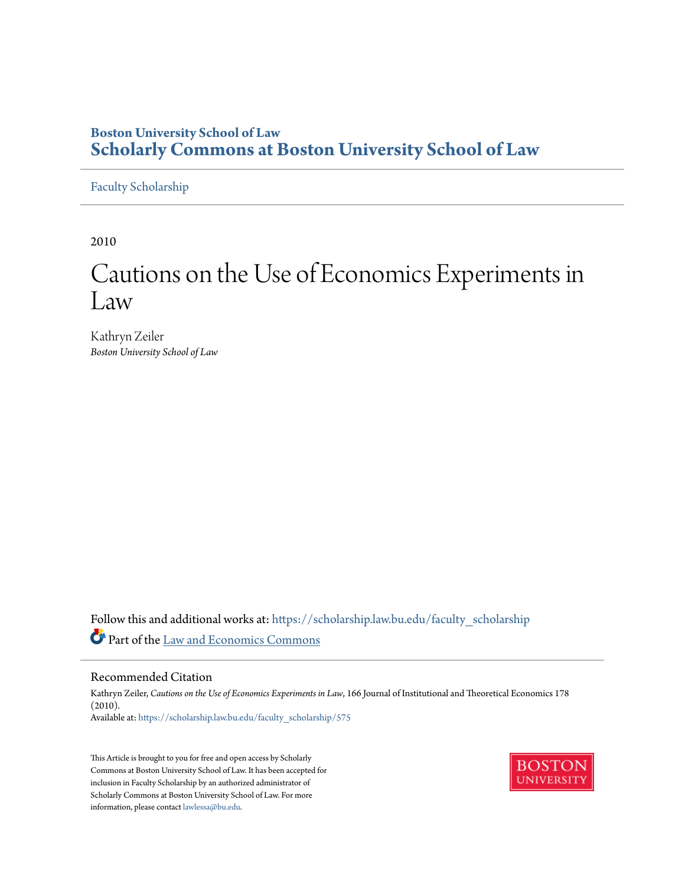## **Boston University School of Law [Scholarly Commons at Boston University School of Law](https://scholarship.law.bu.edu?utm_source=scholarship.law.bu.edu%2Ffaculty_scholarship%2F575&utm_medium=PDF&utm_campaign=PDFCoverPages)**

## [Faculty Scholarship](https://scholarship.law.bu.edu/faculty_scholarship?utm_source=scholarship.law.bu.edu%2Ffaculty_scholarship%2F575&utm_medium=PDF&utm_campaign=PDFCoverPages)

2010

## Cautions on the Use of Economics Experiments in Law

Kathryn Zeiler *Boston University School of Law*

Follow this and additional works at: [https://scholarship.law.bu.edu/faculty\\_scholarship](https://scholarship.law.bu.edu/faculty_scholarship?utm_source=scholarship.law.bu.edu%2Ffaculty_scholarship%2F575&utm_medium=PDF&utm_campaign=PDFCoverPages) Part of the [Law and Economics Commons](http://network.bepress.com/hgg/discipline/612?utm_source=scholarship.law.bu.edu%2Ffaculty_scholarship%2F575&utm_medium=PDF&utm_campaign=PDFCoverPages)

#### Recommended Citation

Kathryn Zeiler, *Cautions on the Use of Economics Experiments in Law*, 166 Journal of Institutional and Theoretical Economics 178 (2010). Available at: [https://scholarship.law.bu.edu/faculty\\_scholarship/575](https://scholarship.law.bu.edu/faculty_scholarship/575?utm_source=scholarship.law.bu.edu%2Ffaculty_scholarship%2F575&utm_medium=PDF&utm_campaign=PDFCoverPages)

This Article is brought to you for free and open access by Scholarly Commons at Boston University School of Law. It has been accepted for inclusion in Faculty Scholarship by an authorized administrator of Scholarly Commons at Boston University School of Law. For more information, please contact [lawlessa@bu.edu.](mailto:lawlessa@bu.edu)

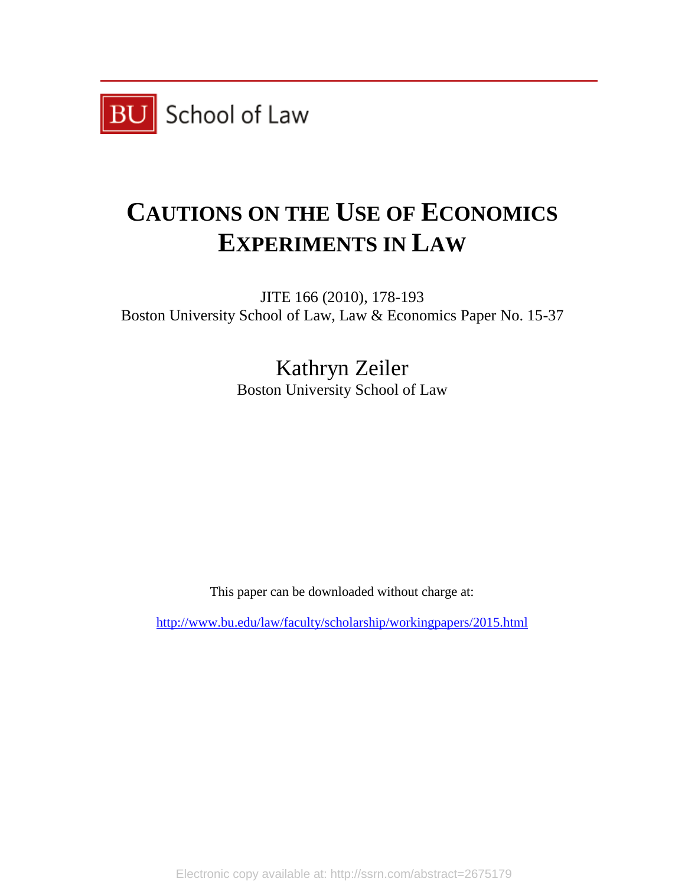

# **CAUTIONS ON THE USE OF ECONOMICS EXPERIMENTS IN LAW**

JITE 166 (2010), 178-193 Boston University School of Law, Law & Economics Paper No. 15-37

> Kathryn Zeiler Boston University School of Law

This paper can be downloaded without charge at:

<http://www.bu.edu/law/faculty/scholarship/workingpapers/2015.html>

Electronic copy available at: http://ssrn.com/abstract=2675179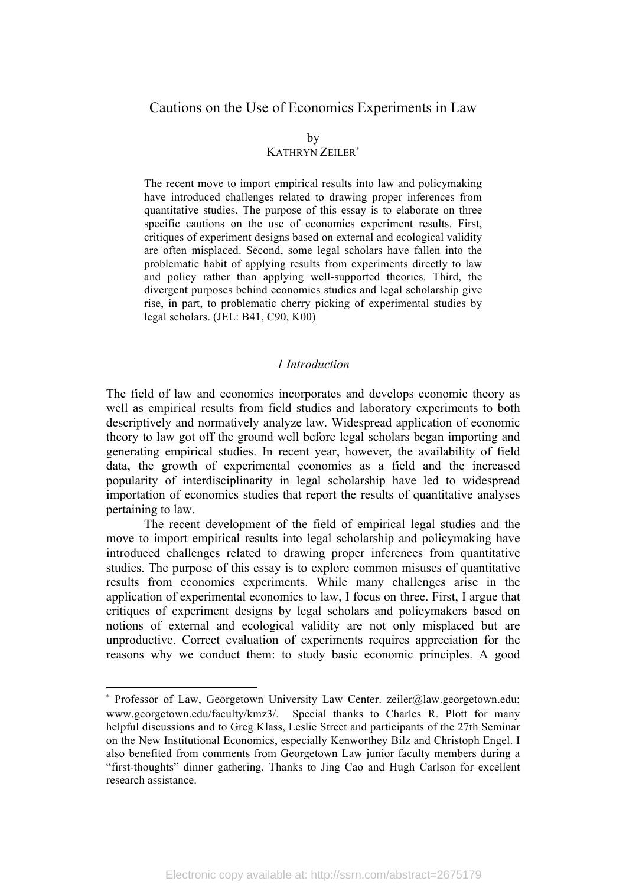## Cautions on the Use of Economics Experiments in Law

#### by

## KATHRYN ZEILER<sup>\*</sup>

The recent move to import empirical results into law and policymaking have introduced challenges related to drawing proper inferences from quantitative studies. The purpose of this essay is to elaborate on three specific cautions on the use of economics experiment results. First, critiques of experiment designs based on external and ecological validity are often misplaced. Second, some legal scholars have fallen into the problematic habit of applying results from experiments directly to law and policy rather than applying well-supported theories. Third, the divergent purposes behind economics studies and legal scholarship give rise, in part, to problematic cherry picking of experimental studies by legal scholars. (JEL: B41, C90, K00)

#### *1 Introduction*

The field of law and economics incorporates and develops economic theory as well as empirical results from field studies and laboratory experiments to both descriptively and normatively analyze law. Widespread application of economic theory to law got off the ground well before legal scholars began importing and generating empirical studies. In recent year, however, the availability of field data, the growth of experimental economics as a field and the increased popularity of interdisciplinarity in legal scholarship have led to widespread importation of economics studies that report the results of quantitative analyses pertaining to law.

The recent development of the field of empirical legal studies and the move to import empirical results into legal scholarship and policymaking have introduced challenges related to drawing proper inferences from quantitative studies. The purpose of this essay is to explore common misuses of quantitative results from economics experiments. While many challenges arise in the application of experimental economics to law, I focus on three. First, I argue that critiques of experiment designs by legal scholars and policymakers based on notions of external and ecological validity are not only misplaced but are unproductive. Correct evaluation of experiments requires appreciation for the reasons why we conduct them: to study basic economic principles. A good

 $\overline{a}$ 

<sup>∗</sup> Professor of Law, Georgetown University Law Center. zeiler@law.georgetown.edu; www.georgetown.edu/faculty/kmz3/. Special thanks to Charles R. Plott for many helpful discussions and to Greg Klass, Leslie Street and participants of the 27th Seminar on the New Institutional Economics, especially Kenworthey Bilz and Christoph Engel. I also benefited from comments from Georgetown Law junior faculty members during a "first-thoughts" dinner gathering. Thanks to Jing Cao and Hugh Carlson for excellent research assistance.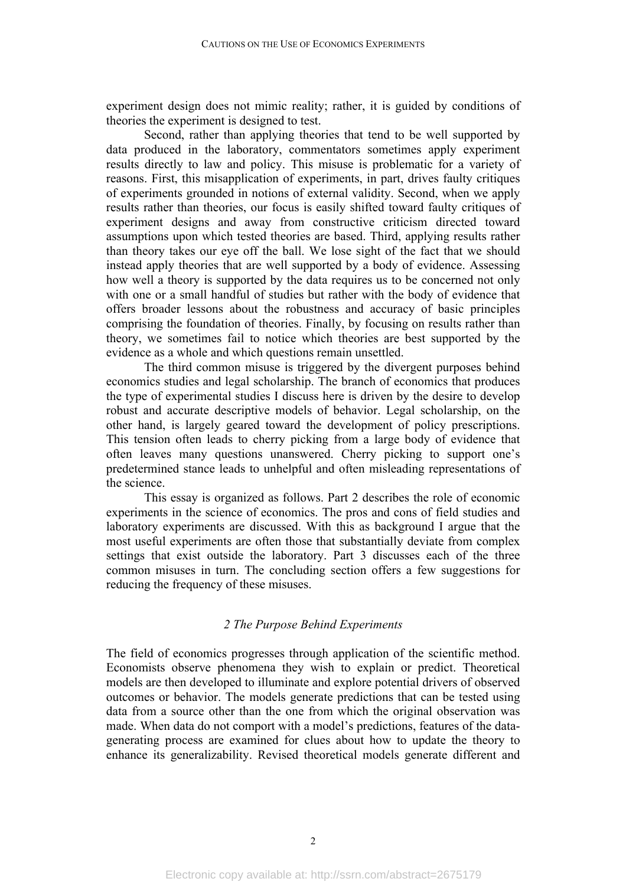experiment design does not mimic reality; rather, it is guided by conditions of theories the experiment is designed to test.

Second, rather than applying theories that tend to be well supported by data produced in the laboratory, commentators sometimes apply experiment results directly to law and policy. This misuse is problematic for a variety of reasons. First, this misapplication of experiments, in part, drives faulty critiques of experiments grounded in notions of external validity. Second, when we apply results rather than theories, our focus is easily shifted toward faulty critiques of experiment designs and away from constructive criticism directed toward assumptions upon which tested theories are based. Third, applying results rather than theory takes our eye off the ball. We lose sight of the fact that we should instead apply theories that are well supported by a body of evidence. Assessing how well a theory is supported by the data requires us to be concerned not only with one or a small handful of studies but rather with the body of evidence that offers broader lessons about the robustness and accuracy of basic principles comprising the foundation of theories. Finally, by focusing on results rather than theory, we sometimes fail to notice which theories are best supported by the evidence as a whole and which questions remain unsettled.

The third common misuse is triggered by the divergent purposes behind economics studies and legal scholarship. The branch of economics that produces the type of experimental studies I discuss here is driven by the desire to develop robust and accurate descriptive models of behavior. Legal scholarship, on the other hand, is largely geared toward the development of policy prescriptions. This tension often leads to cherry picking from a large body of evidence that often leaves many questions unanswered. Cherry picking to support one's predetermined stance leads to unhelpful and often misleading representations of the science.

This essay is organized as follows. Part 2 describes the role of economic experiments in the science of economics. The pros and cons of field studies and laboratory experiments are discussed. With this as background I argue that the most useful experiments are often those that substantially deviate from complex settings that exist outside the laboratory. Part 3 discusses each of the three common misuses in turn. The concluding section offers a few suggestions for reducing the frequency of these misuses.

## *2 The Purpose Behind Experiments*

The field of economics progresses through application of the scientific method. Economists observe phenomena they wish to explain or predict. Theoretical models are then developed to illuminate and explore potential drivers of observed outcomes or behavior. The models generate predictions that can be tested using data from a source other than the one from which the original observation was made. When data do not comport with a model's predictions, features of the datagenerating process are examined for clues about how to update the theory to enhance its generalizability. Revised theoretical models generate different and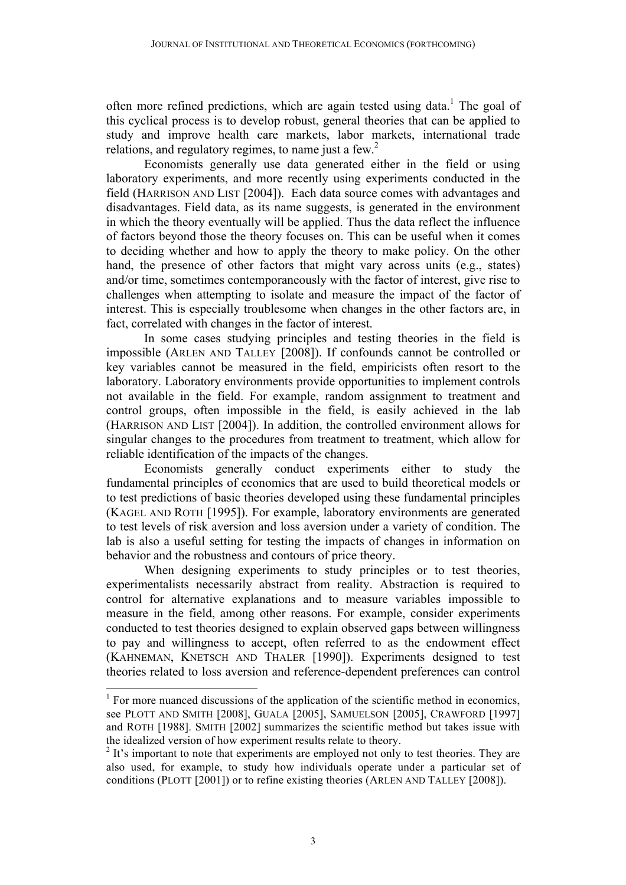often more refined predictions, which are again tested using data.<sup>1</sup> The goal of this cyclical process is to develop robust, general theories that can be applied to study and improve health care markets, labor markets, international trade relations, and regulatory regimes, to name just a few.<sup>2</sup>

Economists generally use data generated either in the field or using laboratory experiments, and more recently using experiments conducted in the field (HARRISON AND LIST [2004]). Each data source comes with advantages and disadvantages. Field data, as its name suggests, is generated in the environment in which the theory eventually will be applied. Thus the data reflect the influence of factors beyond those the theory focuses on. This can be useful when it comes to deciding whether and how to apply the theory to make policy. On the other hand, the presence of other factors that might vary across units (e.g., states) and/or time, sometimes contemporaneously with the factor of interest, give rise to challenges when attempting to isolate and measure the impact of the factor of interest. This is especially troublesome when changes in the other factors are, in fact, correlated with changes in the factor of interest.

In some cases studying principles and testing theories in the field is impossible (ARLEN AND TALLEY [2008]). If confounds cannot be controlled or key variables cannot be measured in the field, empiricists often resort to the laboratory. Laboratory environments provide opportunities to implement controls not available in the field. For example, random assignment to treatment and control groups, often impossible in the field, is easily achieved in the lab (HARRISON AND LIST [2004]). In addition, the controlled environment allows for singular changes to the procedures from treatment to treatment, which allow for reliable identification of the impacts of the changes.

Economists generally conduct experiments either to study the fundamental principles of economics that are used to build theoretical models or to test predictions of basic theories developed using these fundamental principles (KAGEL AND ROTH [1995]). For example, laboratory environments are generated to test levels of risk aversion and loss aversion under a variety of condition. The lab is also a useful setting for testing the impacts of changes in information on behavior and the robustness and contours of price theory.

When designing experiments to study principles or to test theories, experimentalists necessarily abstract from reality. Abstraction is required to control for alternative explanations and to measure variables impossible to measure in the field, among other reasons. For example, consider experiments conducted to test theories designed to explain observed gaps between willingness to pay and willingness to accept, often referred to as the endowment effect (KAHNEMAN, KNETSCH AND THALER [1990]). Experiments designed to test theories related to loss aversion and reference-dependent preferences can control

<sup>&</sup>lt;sup>1</sup> For more nuanced discussions of the application of the scientific method in economics, see PLOTT AND SMITH [2008], GUALA [2005], SAMUELSON [2005], CRAWFORD [1997] and ROTH [1988]. SMITH [2002] summarizes the scientific method but takes issue with the idealized version of how experiment results relate to theory.

 $2$  It's important to note that experiments are employed not only to test theories. They are also used, for example, to study how individuals operate under a particular set of conditions (PLOTT [2001]) or to refine existing theories (ARLEN AND TALLEY [2008]).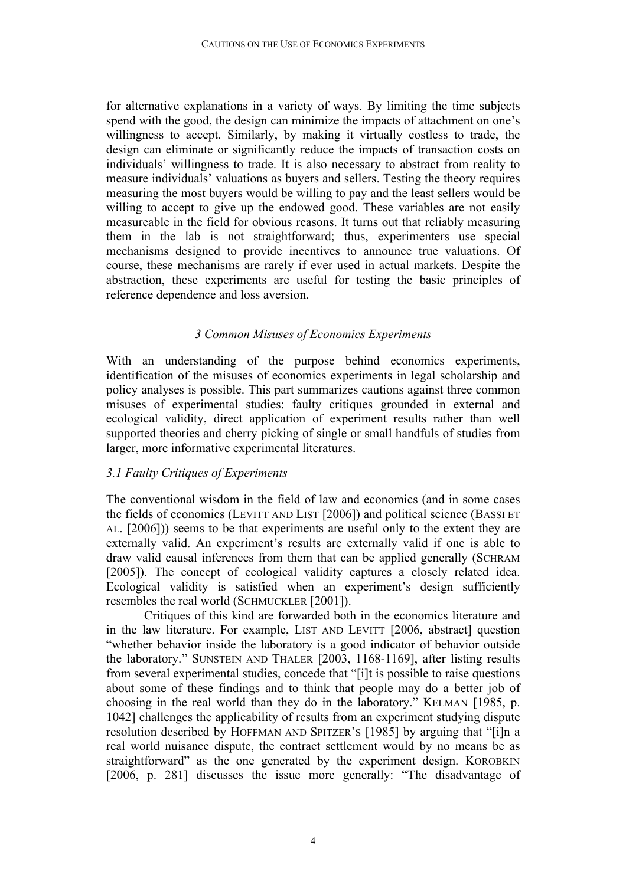for alternative explanations in a variety of ways. By limiting the time subjects spend with the good, the design can minimize the impacts of attachment on one's willingness to accept. Similarly, by making it virtually costless to trade, the design can eliminate or significantly reduce the impacts of transaction costs on individuals' willingness to trade. It is also necessary to abstract from reality to measure individuals' valuations as buyers and sellers. Testing the theory requires measuring the most buyers would be willing to pay and the least sellers would be willing to accept to give up the endowed good. These variables are not easily measureable in the field for obvious reasons. It turns out that reliably measuring them in the lab is not straightforward; thus, experimenters use special mechanisms designed to provide incentives to announce true valuations. Of course, these mechanisms are rarely if ever used in actual markets. Despite the abstraction, these experiments are useful for testing the basic principles of reference dependence and loss aversion.

## *3 Common Misuses of Economics Experiments*

With an understanding of the purpose behind economics experiments, identification of the misuses of economics experiments in legal scholarship and policy analyses is possible. This part summarizes cautions against three common misuses of experimental studies: faulty critiques grounded in external and ecological validity, direct application of experiment results rather than well supported theories and cherry picking of single or small handfuls of studies from larger, more informative experimental literatures.

## *3.1 Faulty Critiques of Experiments*

The conventional wisdom in the field of law and economics (and in some cases the fields of economics (LEVITT AND LIST [2006]) and political science (BASSI ET AL. [2006])) seems to be that experiments are useful only to the extent they are externally valid. An experiment's results are externally valid if one is able to draw valid causal inferences from them that can be applied generally (SCHRAM [2005]). The concept of ecological validity captures a closely related idea. Ecological validity is satisfied when an experiment's design sufficiently resembles the real world (SCHMUCKLER [2001]).

Critiques of this kind are forwarded both in the economics literature and in the law literature. For example, LIST AND LEVITT [2006, abstract] question "whether behavior inside the laboratory is a good indicator of behavior outside the laboratory." SUNSTEIN AND THALER [2003, 1168-1169], after listing results from several experimental studies, concede that "[i]t is possible to raise questions about some of these findings and to think that people may do a better job of choosing in the real world than they do in the laboratory." KELMAN [1985, p. 1042] challenges the applicability of results from an experiment studying dispute resolution described by HOFFMAN AND SPITZER'S [1985] by arguing that "[i]n a real world nuisance dispute, the contract settlement would by no means be as straightforward" as the one generated by the experiment design. KOROBKIN [2006, p. 281] discusses the issue more generally: "The disadvantage of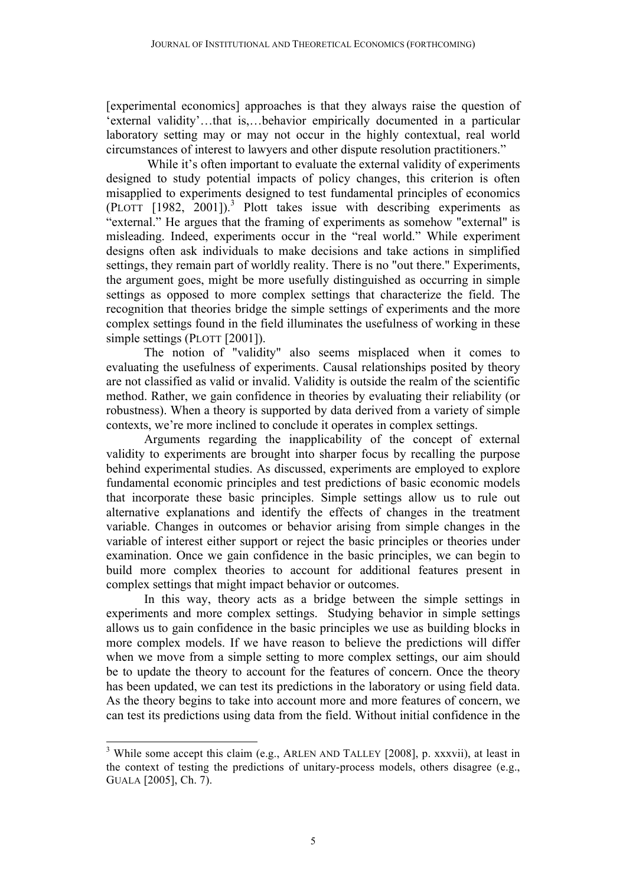[experimental economics] approaches is that they always raise the question of 'external validity'…that is,…behavior empirically documented in a particular laboratory setting may or may not occur in the highly contextual, real world circumstances of interest to lawyers and other dispute resolution practitioners."

While it's often important to evaluate the external validity of experiments designed to study potential impacts of policy changes, this criterion is often misapplied to experiments designed to test fundamental principles of economics (PLOTT [1982, 2001]). <sup>3</sup> Plott takes issue with describing experiments as "external." He argues that the framing of experiments as somehow "external" is misleading. Indeed, experiments occur in the "real world." While experiment designs often ask individuals to make decisions and take actions in simplified settings, they remain part of worldly reality. There is no "out there." Experiments, the argument goes, might be more usefully distinguished as occurring in simple settings as opposed to more complex settings that characterize the field. The recognition that theories bridge the simple settings of experiments and the more complex settings found in the field illuminates the usefulness of working in these simple settings (PLOTT [2001]).

The notion of "validity" also seems misplaced when it comes to evaluating the usefulness of experiments. Causal relationships posited by theory are not classified as valid or invalid. Validity is outside the realm of the scientific method. Rather, we gain confidence in theories by evaluating their reliability (or robustness). When a theory is supported by data derived from a variety of simple contexts, we're more inclined to conclude it operates in complex settings.

Arguments regarding the inapplicability of the concept of external validity to experiments are brought into sharper focus by recalling the purpose behind experimental studies. As discussed, experiments are employed to explore fundamental economic principles and test predictions of basic economic models that incorporate these basic principles. Simple settings allow us to rule out alternative explanations and identify the effects of changes in the treatment variable. Changes in outcomes or behavior arising from simple changes in the variable of interest either support or reject the basic principles or theories under examination. Once we gain confidence in the basic principles, we can begin to build more complex theories to account for additional features present in complex settings that might impact behavior or outcomes.

In this way, theory acts as a bridge between the simple settings in experiments and more complex settings. Studying behavior in simple settings allows us to gain confidence in the basic principles we use as building blocks in more complex models. If we have reason to believe the predictions will differ when we move from a simple setting to more complex settings, our aim should be to update the theory to account for the features of concern. Once the theory has been updated, we can test its predictions in the laboratory or using field data. As the theory begins to take into account more and more features of concern, we can test its predictions using data from the field. Without initial confidence in the

<sup>&</sup>lt;sup>3</sup> While some accept this claim (e.g., ARLEN AND TALLEY [2008], p. xxxvii), at least in the context of testing the predictions of unitary-process models, others disagree (e.g., GUALA [2005], Ch. 7).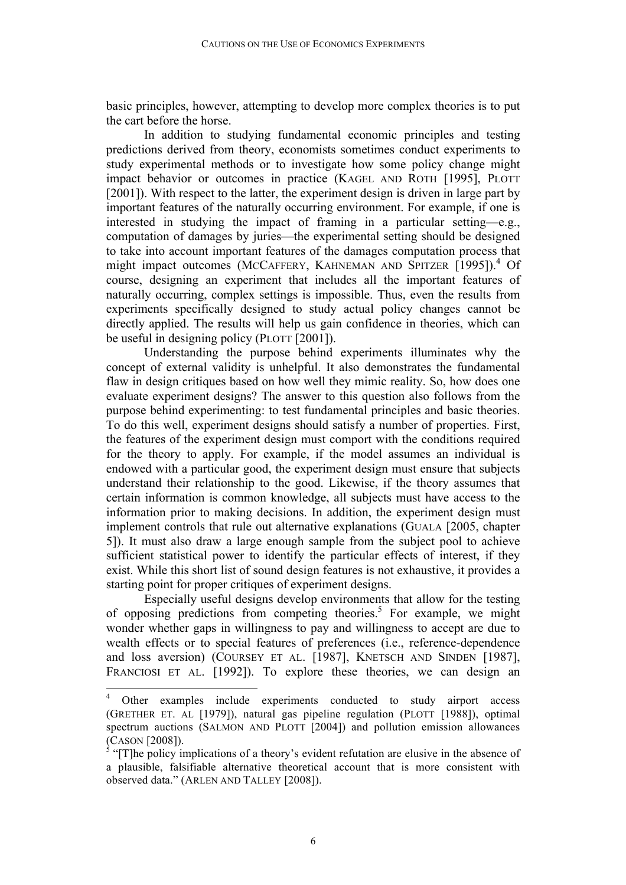basic principles, however, attempting to develop more complex theories is to put the cart before the horse.

In addition to studying fundamental economic principles and testing predictions derived from theory, economists sometimes conduct experiments to study experimental methods or to investigate how some policy change might impact behavior or outcomes in practice (KAGEL AND ROTH [1995], PLOTT [2001]). With respect to the latter, the experiment design is driven in large part by important features of the naturally occurring environment. For example, if one is interested in studying the impact of framing in a particular setting—e.g., computation of damages by juries—the experimental setting should be designed to take into account important features of the damages computation process that might impact outcomes (MCCAFFERY, KAHNEMAN AND SPITZER [1995]).<sup>4</sup> Of course, designing an experiment that includes all the important features of naturally occurring, complex settings is impossible. Thus, even the results from experiments specifically designed to study actual policy changes cannot be directly applied. The results will help us gain confidence in theories, which can be useful in designing policy (PLOTT [2001]).

Understanding the purpose behind experiments illuminates why the concept of external validity is unhelpful. It also demonstrates the fundamental flaw in design critiques based on how well they mimic reality. So, how does one evaluate experiment designs? The answer to this question also follows from the purpose behind experimenting: to test fundamental principles and basic theories. To do this well, experiment designs should satisfy a number of properties. First, the features of the experiment design must comport with the conditions required for the theory to apply. For example, if the model assumes an individual is endowed with a particular good, the experiment design must ensure that subjects understand their relationship to the good. Likewise, if the theory assumes that certain information is common knowledge, all subjects must have access to the information prior to making decisions. In addition, the experiment design must implement controls that rule out alternative explanations (GUALA [2005, chapter 5]). It must also draw a large enough sample from the subject pool to achieve sufficient statistical power to identify the particular effects of interest, if they exist. While this short list of sound design features is not exhaustive, it provides a starting point for proper critiques of experiment designs.

Especially useful designs develop environments that allow for the testing of opposing predictions from competing theories. <sup>5</sup> For example, we might wonder whether gaps in willingness to pay and willingness to accept are due to wealth effects or to special features of preferences (i.e., reference-dependence and loss aversion) (COURSEY ET AL. [1987], KNETSCH AND SINDEN [1987], FRANCIOSI ET AL. [1992]). To explore these theories, we can design an

 $\frac{1}{4}$  Other examples include experiments conducted to study airport access (GRETHER ET. AL [1979]), natural gas pipeline regulation (PLOTT [1988]), optimal spectrum auctions (SALMON AND PLOTT [2004]) and pollution emission allowances (CASON [2008]).

<sup>5</sup> "[T]he policy implications of a theory's evident refutation are elusive in the absence of a plausible, falsifiable alternative theoretical account that is more consistent with observed data." (ARLEN AND TALLEY [2008]).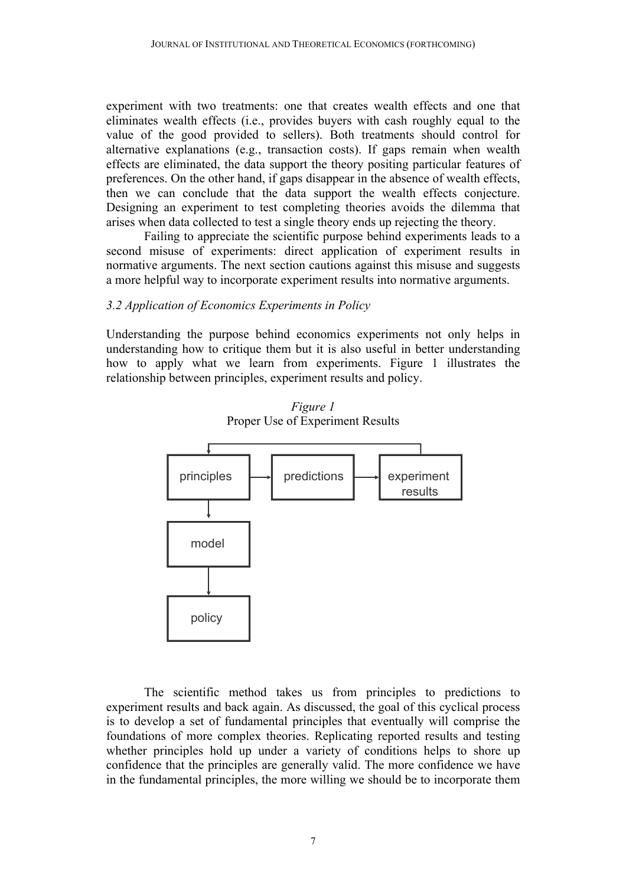experiment with two treatments: one that creates wealth effects and one that eliminates wealth effects (i.e., provides buyers with cash roughly equal to the value of the good provided to sellers). Both treatments should control for alternative explanations (e.g., transaction costs). If gaps remain when wealth effects are eliminated, the data support the theory positing particular features of preferences. On the other hand, if gaps disappear in the absence of wealth effects, then we can conclude that the data support the wealth effects conjecture. Designing an experiment to test completing theories avoids the dilemma that arises when data collected to test a single theory ends up rejecting the theory.

Failing to appreciate the scientific purpose behind experiments leads to a second misuse of experiments: direct application of experiment results in normative arguments. The next section cautions against this misuse and suggests a more helpful way to incorporate experiment results into normative arguments.

### *3.2 Application of Economics Experiments in Policy*

Understanding the purpose behind economics experiments not only helps in understanding how to critique them but it is also useful in better understanding how to apply what we learn from experiments. Figure 1 illustrates the relationship between principles, experiment results and policy.



*Figure 1* Proper Use of Experiment Results

The scientific method takes us from principles to predictions to experiment results and back again. As discussed, the goal of this cyclical process is to develop a set of fundamental principles that eventually will comprise the foundations of more complex theories. Replicating reported results and testing whether principles hold up under a variety of conditions helps to shore up confidence that the principles are generally valid. The more confidence we have in the fundamental principles, the more willing we should be to incorporate them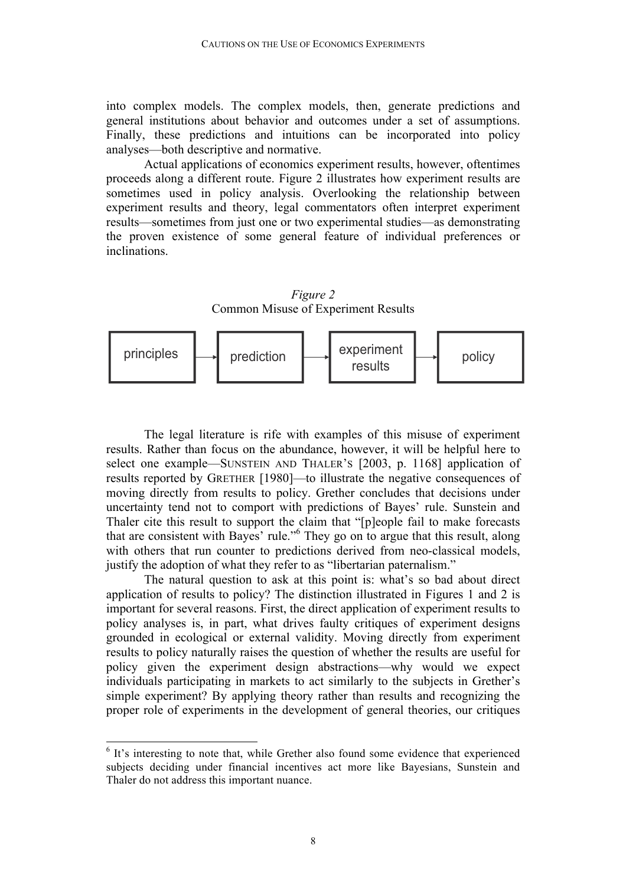into complex models. The complex models, then, generate predictions and general institutions about behavior and outcomes under a set of assumptions. Finally, these predictions and intuitions can be incorporated into policy analyses—both descriptive and normative.

Actual applications of economics experiment results, however, oftentimes proceeds along a different route. Figure 2 illustrates how experiment results are sometimes used in policy analysis. Overlooking the relationship between experiment results and theory, legal commentators often interpret experiment results—sometimes from just one or two experimental studies—as demonstrating the proven existence of some general feature of individual preferences or inclinations.



The legal literature is rife with examples of this misuse of experiment results. Rather than focus on the abundance, however, it will be helpful here to select one example—SUNSTEIN AND THALER'S [2003, p. 1168] application of results reported by GRETHER [1980]—to illustrate the negative consequences of moving directly from results to policy. Grether concludes that decisions under uncertainty tend not to comport with predictions of Bayes' rule. Sunstein and Thaler cite this result to support the claim that "[p]eople fail to make forecasts that are consistent with Bayes' rule." 6 They go on to argue that this result, along with others that run counter to predictions derived from neo-classical models, justify the adoption of what they refer to as "libertarian paternalism."

The natural question to ask at this point is: what's so bad about direct application of results to policy? The distinction illustrated in Figures 1 and 2 is important for several reasons. First, the direct application of experiment results to policy analyses is, in part, what drives faulty critiques of experiment designs grounded in ecological or external validity. Moving directly from experiment results to policy naturally raises the question of whether the results are useful for policy given the experiment design abstractions—why would we expect individuals participating in markets to act similarly to the subjects in Grether's simple experiment? By applying theory rather than results and recognizing the proper role of experiments in the development of general theories, our critiques

<sup>&</sup>lt;sup>6</sup> It's interesting to note that, while Grether also found some evidence that experienced subjects deciding under financial incentives act more like Bayesians, Sunstein and Thaler do not address this important nuance.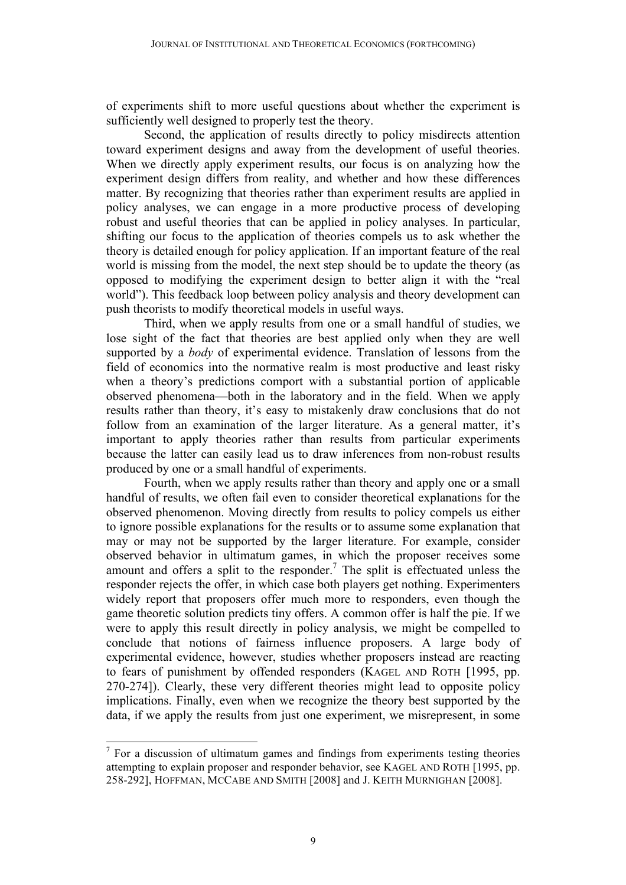of experiments shift to more useful questions about whether the experiment is sufficiently well designed to properly test the theory.

Second, the application of results directly to policy misdirects attention toward experiment designs and away from the development of useful theories. When we directly apply experiment results, our focus is on analyzing how the experiment design differs from reality, and whether and how these differences matter. By recognizing that theories rather than experiment results are applied in policy analyses, we can engage in a more productive process of developing robust and useful theories that can be applied in policy analyses. In particular, shifting our focus to the application of theories compels us to ask whether the theory is detailed enough for policy application. If an important feature of the real world is missing from the model, the next step should be to update the theory (as opposed to modifying the experiment design to better align it with the "real world"). This feedback loop between policy analysis and theory development can push theorists to modify theoretical models in useful ways.

Third, when we apply results from one or a small handful of studies, we lose sight of the fact that theories are best applied only when they are well supported by a *body* of experimental evidence. Translation of lessons from the field of economics into the normative realm is most productive and least risky when a theory's predictions comport with a substantial portion of applicable observed phenomena—both in the laboratory and in the field. When we apply results rather than theory, it's easy to mistakenly draw conclusions that do not follow from an examination of the larger literature. As a general matter, it's important to apply theories rather than results from particular experiments because the latter can easily lead us to draw inferences from non-robust results produced by one or a small handful of experiments.

Fourth, when we apply results rather than theory and apply one or a small handful of results, we often fail even to consider theoretical explanations for the observed phenomenon. Moving directly from results to policy compels us either to ignore possible explanations for the results or to assume some explanation that may or may not be supported by the larger literature. For example, consider observed behavior in ultimatum games, in which the proposer receives some amount and offers a split to the responder.<sup>7</sup> The split is effectuated unless the responder rejects the offer, in which case both players get nothing. Experimenters widely report that proposers offer much more to responders, even though the game theoretic solution predicts tiny offers. A common offer is half the pie. If we were to apply this result directly in policy analysis, we might be compelled to conclude that notions of fairness influence proposers. A large body of experimental evidence, however, studies whether proposers instead are reacting to fears of punishment by offended responders (KAGEL AND ROTH [1995, pp. 270-274]). Clearly, these very different theories might lead to opposite policy implications. Finally, even when we recognize the theory best supported by the data, if we apply the results from just one experiment, we misrepresent, in some

<sup>&</sup>lt;sup>7</sup> For a discussion of ultimatum games and findings from experiments testing theories attempting to explain proposer and responder behavior, see KAGEL AND ROTH [1995, pp. 258-292], HOFFMAN, MCCABE AND SMITH [2008] and J. KEITH MURNIGHAN [2008].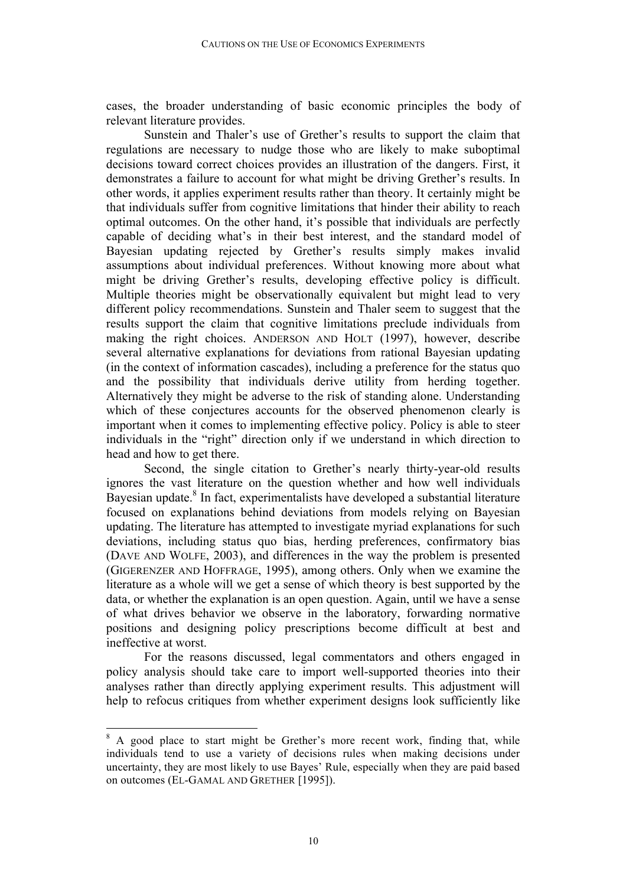cases, the broader understanding of basic economic principles the body of relevant literature provides.

Sunstein and Thaler's use of Grether's results to support the claim that regulations are necessary to nudge those who are likely to make suboptimal decisions toward correct choices provides an illustration of the dangers. First, it demonstrates a failure to account for what might be driving Grether's results. In other words, it applies experiment results rather than theory. It certainly might be that individuals suffer from cognitive limitations that hinder their ability to reach optimal outcomes. On the other hand, it's possible that individuals are perfectly capable of deciding what's in their best interest, and the standard model of Bayesian updating rejected by Grether's results simply makes invalid assumptions about individual preferences. Without knowing more about what might be driving Grether's results, developing effective policy is difficult. Multiple theories might be observationally equivalent but might lead to very different policy recommendations. Sunstein and Thaler seem to suggest that the results support the claim that cognitive limitations preclude individuals from making the right choices. ANDERSON AND HOLT (1997), however, describe several alternative explanations for deviations from rational Bayesian updating (in the context of information cascades), including a preference for the status quo and the possibility that individuals derive utility from herding together. Alternatively they might be adverse to the risk of standing alone. Understanding which of these conjectures accounts for the observed phenomenon clearly is important when it comes to implementing effective policy. Policy is able to steer individuals in the "right" direction only if we understand in which direction to head and how to get there.

Second, the single citation to Grether's nearly thirty-year-old results ignores the vast literature on the question whether and how well individuals Bayesian update. <sup>8</sup> In fact, experimentalists have developed a substantial literature focused on explanations behind deviations from models relying on Bayesian updating. The literature has attempted to investigate myriad explanations for such deviations, including status quo bias, herding preferences, confirmatory bias (DAVE AND WOLFE, 2003), and differences in the way the problem is presented (GIGERENZER AND HOFFRAGE, 1995), among others. Only when we examine the literature as a whole will we get a sense of which theory is best supported by the data, or whether the explanation is an open question. Again, until we have a sense of what drives behavior we observe in the laboratory, forwarding normative positions and designing policy prescriptions become difficult at best and ineffective at worst.

For the reasons discussed, legal commentators and others engaged in policy analysis should take care to import well-supported theories into their analyses rather than directly applying experiment results. This adjustment will help to refocus critiques from whether experiment designs look sufficiently like

<sup>&</sup>lt;sup>8</sup> A good place to start might be Grether's more recent work, finding that, while individuals tend to use a variety of decisions rules when making decisions under uncertainty, they are most likely to use Bayes' Rule, especially when they are paid based on outcomes (EL-GAMAL AND GRETHER [1995]).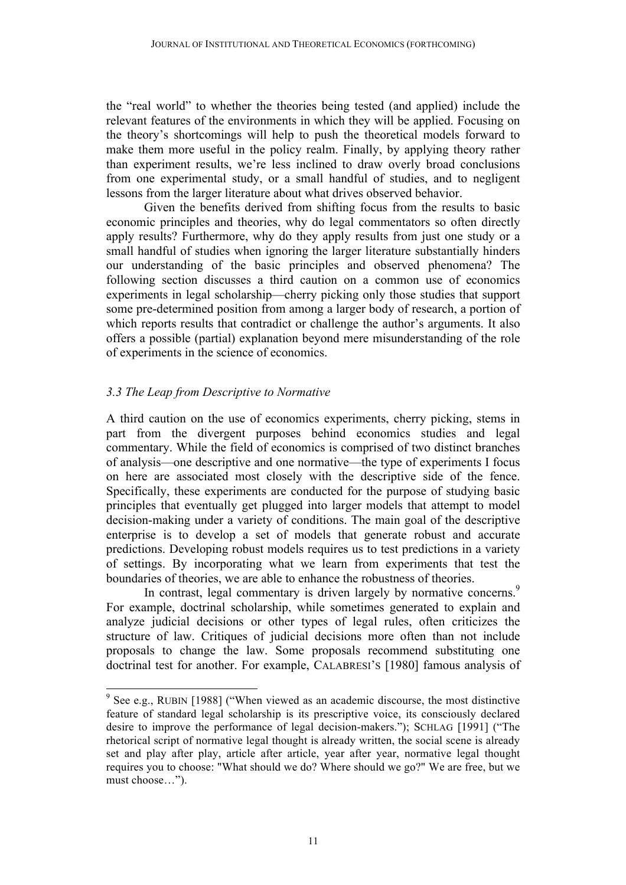the "real world" to whether the theories being tested (and applied) include the relevant features of the environments in which they will be applied. Focusing on the theory's shortcomings will help to push the theoretical models forward to make them more useful in the policy realm. Finally, by applying theory rather than experiment results, we're less inclined to draw overly broad conclusions from one experimental study, or a small handful of studies, and to negligent lessons from the larger literature about what drives observed behavior.

Given the benefits derived from shifting focus from the results to basic economic principles and theories, why do legal commentators so often directly apply results? Furthermore, why do they apply results from just one study or a small handful of studies when ignoring the larger literature substantially hinders our understanding of the basic principles and observed phenomena? The following section discusses a third caution on a common use of economics experiments in legal scholarship—cherry picking only those studies that support some pre-determined position from among a larger body of research, a portion of which reports results that contradict or challenge the author's arguments. It also offers a possible (partial) explanation beyond mere misunderstanding of the role of experiments in the science of economics.

## *3.3 The Leap from Descriptive to Normative*

A third caution on the use of economics experiments, cherry picking, stems in part from the divergent purposes behind economics studies and legal commentary. While the field of economics is comprised of two distinct branches of analysis—one descriptive and one normative—the type of experiments I focus on here are associated most closely with the descriptive side of the fence. Specifically, these experiments are conducted for the purpose of studying basic principles that eventually get plugged into larger models that attempt to model decision-making under a variety of conditions. The main goal of the descriptive enterprise is to develop a set of models that generate robust and accurate predictions. Developing robust models requires us to test predictions in a variety of settings. By incorporating what we learn from experiments that test the boundaries of theories, we are able to enhance the robustness of theories.

In contrast, legal commentary is driven largely by normative concerns.<sup>9</sup> For example, doctrinal scholarship, while sometimes generated to explain and analyze judicial decisions or other types of legal rules, often criticizes the structure of law. Critiques of judicial decisions more often than not include proposals to change the law. Some proposals recommend substituting one doctrinal test for another. For example, CALABRESI'S [1980] famous analysis of

<sup>&</sup>lt;sup>9</sup> See e.g., RUBIN [1988] ("When viewed as an academic discourse, the most distinctive feature of standard legal scholarship is its prescriptive voice, its consciously declared desire to improve the performance of legal decision-makers."); SCHLAG [1991] ("The rhetorical script of normative legal thought is already written, the social scene is already set and play after play, article after article, year after year, normative legal thought requires you to choose: "What should we do? Where should we go?" We are free, but we must choose…").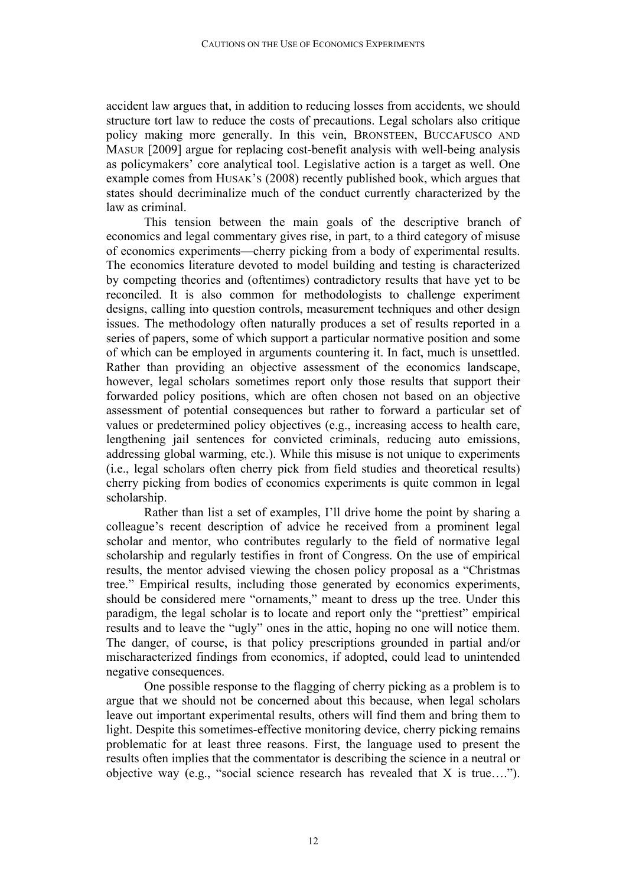accident law argues that, in addition to reducing losses from accidents, we should structure tort law to reduce the costs of precautions. Legal scholars also critique policy making more generally. In this vein, BRONSTEEN, BUCCAFUSCO AND MASUR [2009] argue for replacing cost-benefit analysis with well-being analysis as policymakers' core analytical tool. Legislative action is a target as well. One example comes from HUSAK'S (2008) recently published book, which argues that states should decriminalize much of the conduct currently characterized by the law as criminal.

This tension between the main goals of the descriptive branch of economics and legal commentary gives rise, in part, to a third category of misuse of economics experiments—cherry picking from a body of experimental results. The economics literature devoted to model building and testing is characterized by competing theories and (oftentimes) contradictory results that have yet to be reconciled. It is also common for methodologists to challenge experiment designs, calling into question controls, measurement techniques and other design issues. The methodology often naturally produces a set of results reported in a series of papers, some of which support a particular normative position and some of which can be employed in arguments countering it. In fact, much is unsettled. Rather than providing an objective assessment of the economics landscape, however, legal scholars sometimes report only those results that support their forwarded policy positions, which are often chosen not based on an objective assessment of potential consequences but rather to forward a particular set of values or predetermined policy objectives (e.g., increasing access to health care, lengthening jail sentences for convicted criminals, reducing auto emissions, addressing global warming, etc.). While this misuse is not unique to experiments (i.e., legal scholars often cherry pick from field studies and theoretical results) cherry picking from bodies of economics experiments is quite common in legal scholarship.

Rather than list a set of examples, I'll drive home the point by sharing a colleague's recent description of advice he received from a prominent legal scholar and mentor, who contributes regularly to the field of normative legal scholarship and regularly testifies in front of Congress. On the use of empirical results, the mentor advised viewing the chosen policy proposal as a "Christmas tree." Empirical results, including those generated by economics experiments, should be considered mere "ornaments," meant to dress up the tree. Under this paradigm, the legal scholar is to locate and report only the "prettiest" empirical results and to leave the "ugly" ones in the attic, hoping no one will notice them. The danger, of course, is that policy prescriptions grounded in partial and/or mischaracterized findings from economics, if adopted, could lead to unintended negative consequences.

One possible response to the flagging of cherry picking as a problem is to argue that we should not be concerned about this because, when legal scholars leave out important experimental results, others will find them and bring them to light. Despite this sometimes-effective monitoring device, cherry picking remains problematic for at least three reasons. First, the language used to present the results often implies that the commentator is describing the science in a neutral or objective way (e.g., "social science research has revealed that X is true….").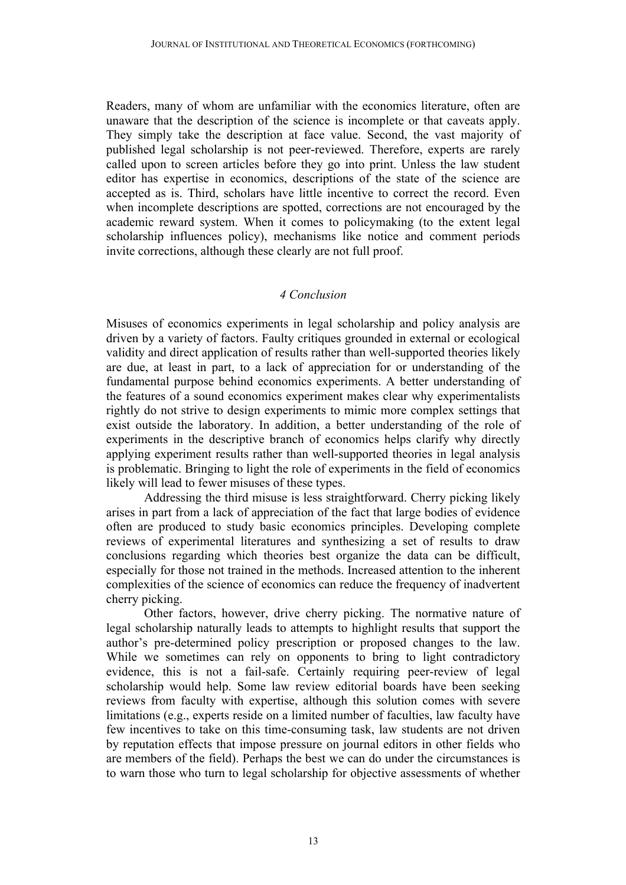Readers, many of whom are unfamiliar with the economics literature, often are unaware that the description of the science is incomplete or that caveats apply. They simply take the description at face value. Second, the vast majority of published legal scholarship is not peer-reviewed. Therefore, experts are rarely called upon to screen articles before they go into print. Unless the law student editor has expertise in economics, descriptions of the state of the science are accepted as is. Third, scholars have little incentive to correct the record. Even when incomplete descriptions are spotted, corrections are not encouraged by the academic reward system. When it comes to policymaking (to the extent legal scholarship influences policy), mechanisms like notice and comment periods invite corrections, although these clearly are not full proof.

#### *4 Conclusion*

Misuses of economics experiments in legal scholarship and policy analysis are driven by a variety of factors. Faulty critiques grounded in external or ecological validity and direct application of results rather than well-supported theories likely are due, at least in part, to a lack of appreciation for or understanding of the fundamental purpose behind economics experiments. A better understanding of the features of a sound economics experiment makes clear why experimentalists rightly do not strive to design experiments to mimic more complex settings that exist outside the laboratory. In addition, a better understanding of the role of experiments in the descriptive branch of economics helps clarify why directly applying experiment results rather than well-supported theories in legal analysis is problematic. Bringing to light the role of experiments in the field of economics likely will lead to fewer misuses of these types.

Addressing the third misuse is less straightforward. Cherry picking likely arises in part from a lack of appreciation of the fact that large bodies of evidence often are produced to study basic economics principles. Developing complete reviews of experimental literatures and synthesizing a set of results to draw conclusions regarding which theories best organize the data can be difficult, especially for those not trained in the methods. Increased attention to the inherent complexities of the science of economics can reduce the frequency of inadvertent cherry picking.

Other factors, however, drive cherry picking. The normative nature of legal scholarship naturally leads to attempts to highlight results that support the author's pre-determined policy prescription or proposed changes to the law. While we sometimes can rely on opponents to bring to light contradictory evidence, this is not a fail-safe. Certainly requiring peer-review of legal scholarship would help. Some law review editorial boards have been seeking reviews from faculty with expertise, although this solution comes with severe limitations (e.g., experts reside on a limited number of faculties, law faculty have few incentives to take on this time-consuming task, law students are not driven by reputation effects that impose pressure on journal editors in other fields who are members of the field). Perhaps the best we can do under the circumstances is to warn those who turn to legal scholarship for objective assessments of whether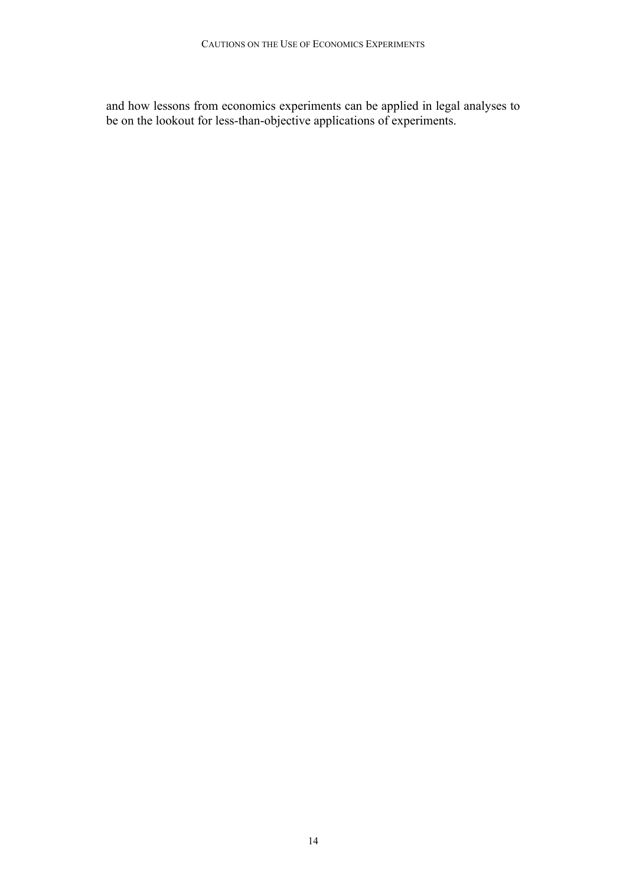and how lessons from economics experiments can be applied in legal analyses to be on the lookout for less-than-objective applications of experiments.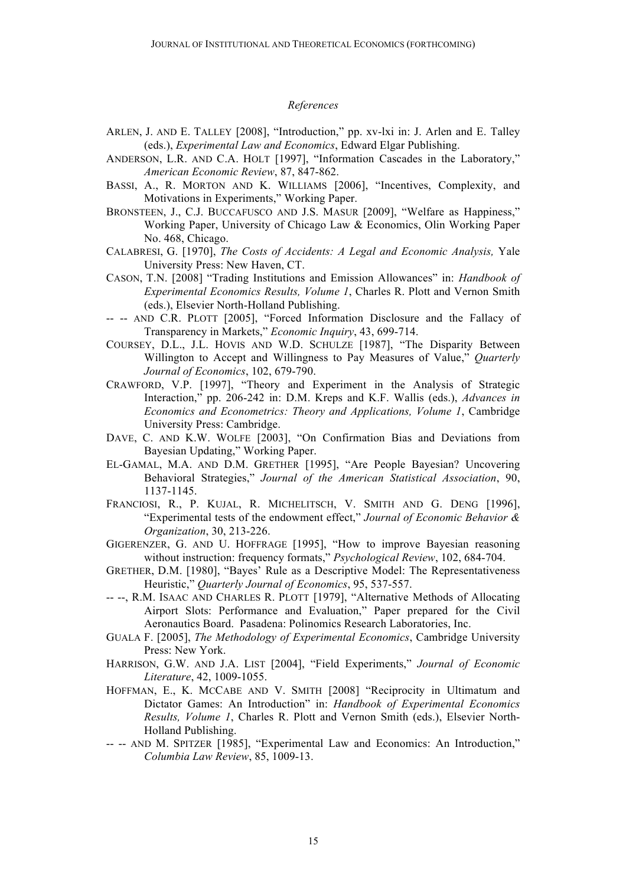#### *References*

- ARLEN, J. AND E. TALLEY [2008], "Introduction," pp. xv-lxi in: J. Arlen and E. Talley (eds.), *Experimental Law and Economics*, Edward Elgar Publishing.
- ANDERSON, L.R. AND C.A. HOLT [1997], "Information Cascades in the Laboratory," *American Economic Review*, 87, 847-862.
- BASSI, A., R. MORTON AND K. WILLIAMS [2006], "Incentives, Complexity, and Motivations in Experiments," Working Paper.
- BRONSTEEN, J., C.J. BUCCAFUSCO AND J.S. MASUR [2009], "Welfare as Happiness," Working Paper, University of Chicago Law & Economics, Olin Working Paper No. 468, Chicago.
- CALABRESI, G. [1970], *The Costs of Accidents: A Legal and Economic Analysis,* Yale University Press: New Haven, CT.
- CASON, T.N. [2008] "Trading Institutions and Emission Allowances" in: *Handbook of Experimental Economics Results, Volume 1*, Charles R. Plott and Vernon Smith (eds.), Elsevier North-Holland Publishing.
- -- -- AND C.R. PLOTT [2005], "Forced Information Disclosure and the Fallacy of Transparency in Markets," *Economic Inquiry*, 43, 699-714.
- COURSEY, D.L., J.L. HOVIS AND W.D. SCHULZE [1987], "The Disparity Between Willington to Accept and Willingness to Pay Measures of Value," *Quarterly Journal of Economics*, 102, 679-790.
- CRAWFORD, V.P. [1997], "Theory and Experiment in the Analysis of Strategic Interaction," pp. 206-242 in: D.M. Kreps and K.F. Wallis (eds.), *Advances in Economics and Econometrics: Theory and Applications, Volume 1*, Cambridge University Press: Cambridge.
- DAVE, C. AND K.W. WOLFE [2003], "On Confirmation Bias and Deviations from Bayesian Updating," Working Paper.
- EL-GAMAL, M.A. AND D.M. GRETHER [1995], "Are People Bayesian? Uncovering Behavioral Strategies," *Journal of the American Statistical Association*, 90, 1137-1145.
- FRANCIOSI, R., P. KUJAL, R. MICHELITSCH, V. SMITH AND G. DENG [1996], "Experimental tests of the endowment effect," *Journal of Economic Behavior & Organization*, 30, 213-226.
- GIGERENZER, G. AND U. HOFFRAGE [1995], "How to improve Bayesian reasoning without instruction: frequency formats," *Psychological Review*, 102, 684-704.
- GRETHER, D.M. [1980], "Bayes' Rule as a Descriptive Model: The Representativeness Heuristic," *Quarterly Journal of Economics*, 95, 537-557.
- -- --, R.M. ISAAC AND CHARLES R. PLOTT [1979], "Alternative Methods of Allocating Airport Slots: Performance and Evaluation," Paper prepared for the Civil Aeronautics Board. Pasadena: Polinomics Research Laboratories, Inc.
- GUALA F. [2005], *The Methodology of Experimental Economics*, Cambridge University Press: New York.
- HARRISON, G.W. AND J.A. LIST [2004], "Field Experiments," *Journal of Economic Literature*, 42, 1009-1055.
- HOFFMAN, E., K. MCCABE AND V. SMITH [2008] "Reciprocity in Ultimatum and Dictator Games: An Introduction" in: *Handbook of Experimental Economics Results, Volume 1*, Charles R. Plott and Vernon Smith (eds.), Elsevier North-Holland Publishing.
- -- -- AND M. SPITZER [1985], "Experimental Law and Economics: An Introduction," *Columbia Law Review*, 85, 1009-13.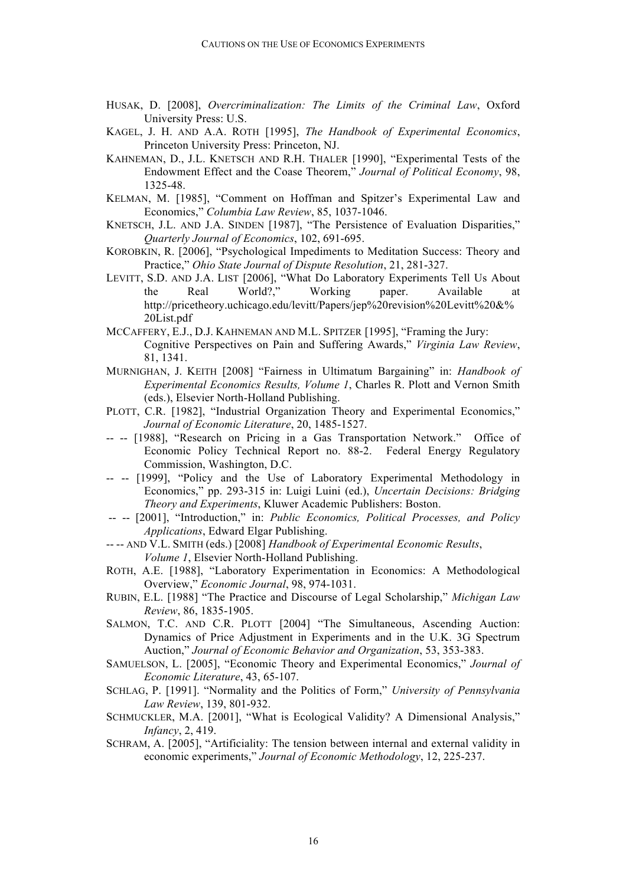- HUSAK, D. [2008], *Overcriminalization: The Limits of the Criminal Law*, Oxford University Press: U.S.
- KAGEL, J. H. AND A.A. ROTH [1995], *The Handbook of Experimental Economics*, Princeton University Press: Princeton, NJ.
- KAHNEMAN, D., J.L. KNETSCH AND R.H. THALER [1990], "Experimental Tests of the Endowment Effect and the Coase Theorem," *Journal of Political Economy*, 98, 1325-48.
- KELMAN, M. [1985], "Comment on Hoffman and Spitzer's Experimental Law and Economics," *Columbia Law Review*, 85, 1037-1046.
- KNETSCH, J.L. AND J.A. SINDEN [1987], "The Persistence of Evaluation Disparities," *Quarterly Journal of Economics*, 102, 691-695.
- KOROBKIN, R. [2006], "Psychological Impediments to Meditation Success: Theory and Practice," *Ohio State Journal of Dispute Resolution*, 21, 281-327.
- LEVITT, S.D. AND J.A. LIST [2006], "What Do Laboratory Experiments Tell Us About the Real World?," Working paper. Available at http://pricetheory.uchicago.edu/levitt/Papers/jep%20revision%20Levitt%20&% 20List.pdf
- MCCAFFERY, E.J., D.J. KAHNEMAN AND M.L. SPITZER [1995], "Framing the Jury: Cognitive Perspectives on Pain and Suffering Awards," *Virginia Law Review*, 81, 1341.
- MURNIGHAN, J. KEITH [2008] "Fairness in Ultimatum Bargaining" in: *Handbook of Experimental Economics Results, Volume 1*, Charles R. Plott and Vernon Smith (eds.), Elsevier North-Holland Publishing.
- PLOTT, C.R. [1982], "Industrial Organization Theory and Experimental Economics," *Journal of Economic Literature*, 20, 1485-1527.
- -- -- [1988], "Research on Pricing in a Gas Transportation Network." Office of Economic Policy Technical Report no. 88-2. Federal Energy Regulatory Commission, Washington, D.C.
- -- -- [1999], "Policy and the Use of Laboratory Experimental Methodology in Economics," pp. 293-315 in: Luigi Luini (ed.), *Uncertain Decisions: Bridging Theory and Experiments*, Kluwer Academic Publishers: Boston.
- -- -- [2001], "Introduction," in: *Public Economics, Political Processes, and Policy Applications*, Edward Elgar Publishing.
- -- -- AND V.L. SMITH (eds.) [2008] *Handbook of Experimental Economic Results*, *Volume 1*, Elsevier North-Holland Publishing.
- ROTH, A.E. [1988], "Laboratory Experimentation in Economics: A Methodological Overview," *Economic Journal*, 98, 974-1031.
- RUBIN, E.L. [1988] "The Practice and Discourse of Legal Scholarship," *Michigan Law Review*, 86, 1835-1905.
- SALMON, T.C. AND C.R. PLOTT [2004] "The Simultaneous, Ascending Auction: Dynamics of Price Adjustment in Experiments and in the U.K. 3G Spectrum Auction," *Journal of Economic Behavior and Organization*, 53, 353-383.
- SAMUELSON, L. [2005], "Economic Theory and Experimental Economics," *Journal of Economic Literature*, 43, 65-107.
- SCHLAG, P. [1991]. "Normality and the Politics of Form," *University of Pennsylvania Law Review*, 139, 801-932.
- SCHMUCKLER, M.A. [2001], "What is Ecological Validity? A Dimensional Analysis," *Infancy*, 2, 419.
- SCHRAM, A. [2005], "Artificiality: The tension between internal and external validity in economic experiments," *Journal of Economic Methodology*, 12, 225-237.